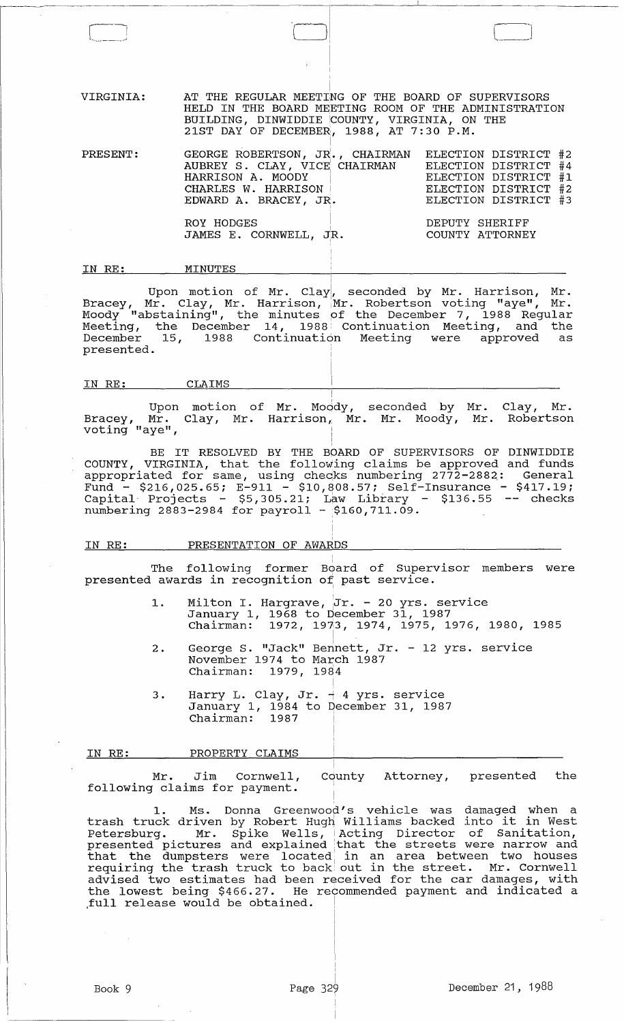VIRGINIA: AT THE REGULAR MEETING OF THE BOARD OF SUPERVISORS HELD IN THE BOARD MEETING ROOM OF THE ADMINISTRATION BUILDING, DINWIDDIE COUNTY, VIRGINIA, ON THE 21ST DAY OF DECEMBER, 1988, AT 7:30 P.M.

| PRESENT: | GEORGE ROBERTSON, JR., CHAIRMAN<br>AUBREY S. CLAY, VICE CHAIRMAN<br>HARRISON A. MOODY<br>CHARLES W. HARRISON  <br>EDWARD A. BRACEY, JR. | ELECTION DISTRICT #2<br>ELECTION DISTRICT #4<br>ELECTION DISTRICT #1<br>ELECTION DISTRICT #2<br>ELECTION DISTRICT #3 |
|----------|-----------------------------------------------------------------------------------------------------------------------------------------|----------------------------------------------------------------------------------------------------------------------|
|          | ROY HODGES<br>JAMES E. CORNWELL, JR.                                                                                                    | DEPUTY SHERIFF<br>COUNTY ATTORNEY                                                                                    |

IN RE: MINUTES

Upon motion of Mr. Clay, seconded by Mr. Harrison, Mr. Bracey, Mr. Clay, Mr. Harrison, Mr. Robertson voting "aye", Mr. Moody "abstaining", the minutes pf the December 7, 1988 Regular Meeting, the December 14, 1988. Continuation Meeting, and the December 15, 1988 continuation Meeting were approved as presented.

#### IN RE: CLAIMS

Upon motion of Mr. Moody, seconded by Mr. Clay, Mr. Bracey, Mr. voting "aye", Clay, Mr. Harrison, Mr. Mr. Moody, Mr. Robertson

î.

BE IT RESOLVED BY THE BOARD OF SUPERVISORS OF DINWIDDIE COUNTY, VIRGINIA, that the following claims be approved and funds appropriated for same, using chec;ks numbering 2772-2882,: General Fund - \$216,025.65; E-911 - \$10,808.57; Self-Insurance - \$417.19;  $\frac{1}{2}$ Capital· Projects - \$5,305.21; Law Library - \$136.55 -- checks numbering 2883-2984 for payroll - \$160,711.09.

| IN RE: | PRESENTATION OF AWARDS |  |
|--------|------------------------|--|

I The following former Board of Supervisor members were The following former Board of Superv<br>presented awards in recognition of past service.

I ,

- 1. Milton I. Hargrave, Jr. 20 yrs. service January 1, 1968 to December 31, 1987 Chairman: 1972, *19f3,* 1974, 1975, 1976, 1980, 1985
- 2. George S. "Jack" Bennett, Jr. 12 yrs. service November 1974 to March 1987 Chairman: 1979, 1984

I

3 . Harry L. Clay, Jr.  $\frac{1}{4}$  4 yrs. service January 1, 1984 to December 31, 1987 Chairman: 1987

IN RE: PROPERTY CLAIMS

Mr. Jim Cornwell, following claims for payment. County Attorney, presented the

1. Ms. Donna Greenwood's vehicle was damaged when a trash truck driven by Robert Hugh Williams backed into it in West Petersburg. Mr. Spike Wells, IActing Director of Sanitation, presented pictures and explained that the streets were narrow and presenced procures and exprained that the screegs were harrow and requiring the trash truck to back out in the street. Mr. Cornwell advised two estimates had been received for the car damages, with the lowest being \$466.27. He recommended payment and indicated a ,full release would be obtained.

 $\begin{pmatrix} 1 & 1 \\ 1 & 1 \end{pmatrix}$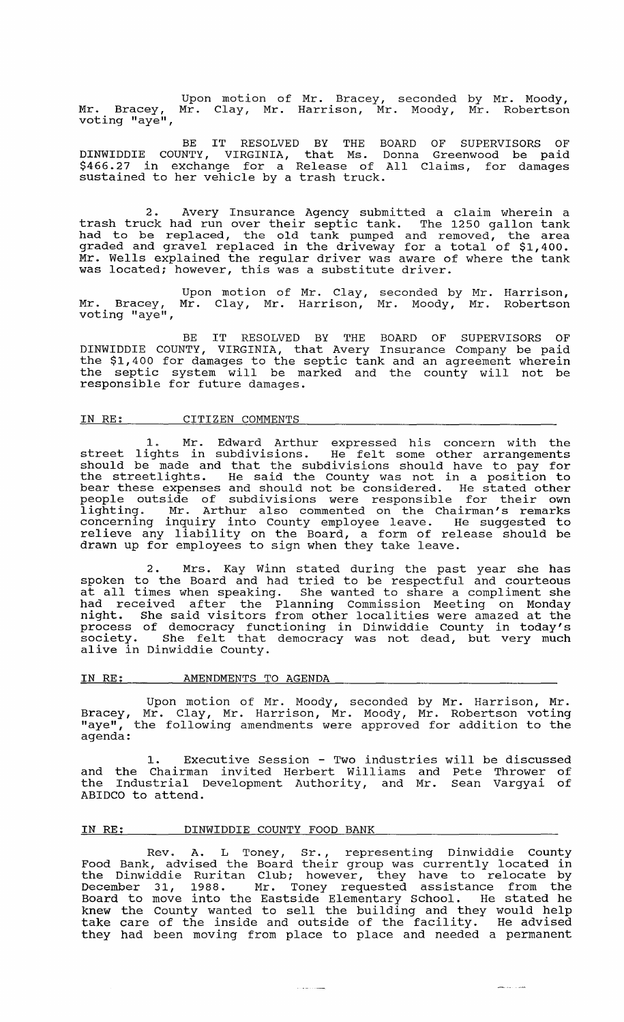Mr. Bracey, voting "aye", Upon motion of Mr. Bracey, seconded by Mr. Moody,<br>Mr. Clay, Mr. Harrison, Mr. Moody, Mr. Robertson

BE IT RESOLVED BY THE BOARD OF SUPERVISORS OF DINWIDDIE COUNTY, VIRGINIA, that Ms. Donna Greenwood be paid \$466.27 in exchange for a Release of All Claims, for damages sustained to her vehicle by a trash truck.

2. Avery Insurance Agency submitted a claim wherein a trash truck had run over their septic tank. The 1250 gallon tank had to be replaced, the old tank pumped and removed, the area graded and gravel replaced in the driveway for a total of \$1,400. Mr. Wells explained the regular driver was aware of where the tank was located; however, this was a substitute driver.

Mr. Bracey, voting "aye", Upon motion of Mr. Clay, Mr. Clay, Mr. Harrison, seconded by Mr. Mr. Moody, Mr. Harrison, Robertson

BE IT RESOLVED BY THE BOARD OF SUPERVISORS OF DINWIDDIE COUNTY, VIRGINIA, that Avery Insurance Company be paid the \$1,400 for damages to the septic tank and an agreement wherein the septic system will be marked and the county will not be responsible for future damages.

# IN RE: CITIZEN COMMENTS

1. Mr. Edward Arthur expressed his concern with the street lights in subdivisions. He felt some other arrangements should be made and that the subdivisions should have to pay for the streetlights. He said the County was not in a position to bear these expenses and should not be considered. He stated other people outside of subdivisions were responsible for their own lighting. Mr. Arthur also commented on the Chairman's remarks concerning inquiry into County employee leave. He suggested to relieve any liability on the Board, a form of release should be drawn up for employees to sign when they take leave.

2. Mrs. Kay Winn stated during the past year she has spoken to the Board and had tried to be respectful and courteous spoken to the board and had tried to be respective and conreeds<br>at all times when speaking. She wanted to share a compliment she had received after the Planning Commission Meeting on Monday night. She said visitors from other localities were amazed at the process of democracy functioning in Dinwiddie County in today' s process of democracy functioning in binwiddle county in coday's<br>society. She felt that democracy was not dead, but very much alive in Dinwiddie County.

#### IN RE: AMENDMENTS TO AGENDA

Upon motion of Mr. Moody, seconded by Mr. Harrison, Mr. Bracey, Mr. Clay, Mr. Harrison, Mr. Moody, Mr. Robertson voting "aye", the following amendments were approved for addition to the agenda:

1. Executive Session - Two industries will be discussed and the Chairman invited Herbert Williams and Pete Thrower of the Industrial Development Authority, and Mr. Sean Vargyai of ABIDCO to attend.

# IN RE: DINWIDDIE COUNTY FOOD BANK

Rev. A. L Toney, Sr., representing Dinwiddie County Food Bank, advised the Board their group was currently located in the Dinwiddie Ruritan Club; however, they have to relocate by December 31, 1988. Mr. Toney requested assistance from the Board to move into the Eastside Elementary School. He stated he knew the county wanted to sell the building and they would help khew the county wanted to seif the building and they would help<br>take care of the inside and outside of the facility. He advised they had been moving from place to place and needed a permanent

فستحدث والمتحدث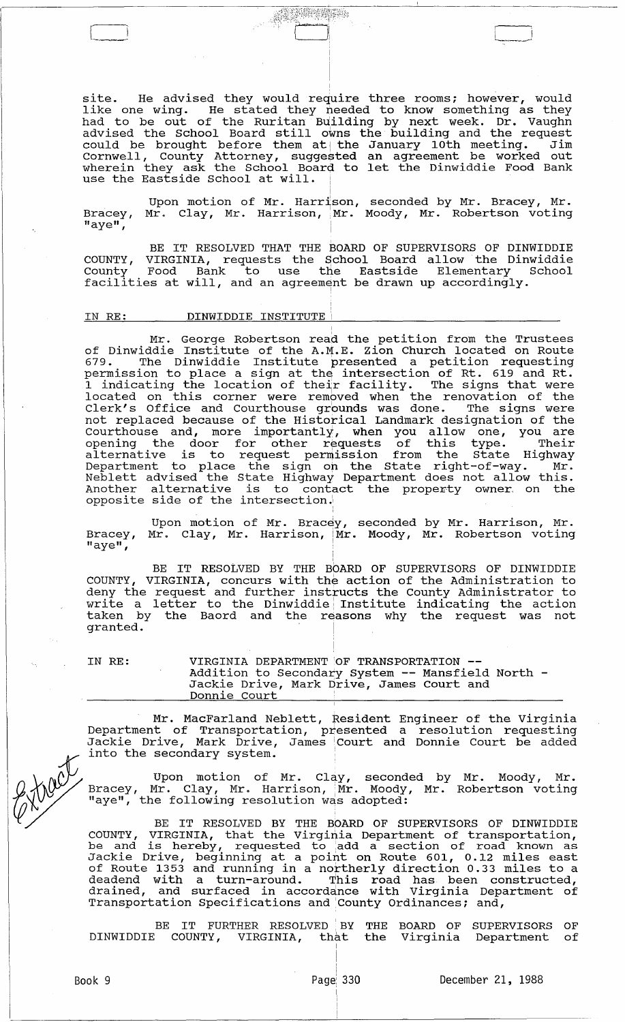site. He advised they would require three rooms; however, would like one wing. He stated they needed to know something as they had to be out of the Ruritan Building by next week. Dr. Vaughn advised the School Board still owns the building and the request advised the senect beard befit owns and baffaring and the request Cornwell, County Attorney, suggested an agreement be worked out wherein they ask the School Board to let the Dinwiddie Food Bank wherein they ask the behoor board

ARTICLE

Upon motion of Mr. Harrison, seconded by Mr. Bracey, Mr. Bracey, Mr. Clay, Mr. Harrison, Mr. Moody, Mr. Robertson voting  $"$ aye $"$ ,

BE IT RESOLVED THAT THE BOARD OF SUPERVISORS OF DINWIDDIE COUNTY, VIRGINIA, requests the School Board allow the Dinwiddie County Food Bank to use the Eastside Elementary School County Food Bank to use the Eastside Elementary<br>facilities at will, and an agreement be drawn up accordingly.

I

# IN RE: DINWIDDIE INSTITUTE

Mr. George Robertson read the petition from the Trustees of Dinwiddie Institute of the A.M.E. Zion Church located on Route 679. The Dinwiddie Institute presented a petition requesting permission to place a sign at the intersection of Rt. 619 and Rt. permission to prace a sign at the intersection of Re. 819 and Re.<br>1 indicating the location of their facility. The signs that were I indicating the recation of their racific, the signs that were Clerk's Office and Courthouse grounds was done. The signs were not replaced because of the Historical Landmark designation of the Courthouse and, more importantly, when you allow one, you are courthouse and, more importantly, when you allow one, you are opening the door for other requests of this type. Their<br>alternative is to request permission from the State Highway Department to place the sign on the State right-of-way. Mr. Department to prace the Sign on the Brace light of way. In: Another alternative is to contact the property owner, on the opposite side of the intersection.

Bracey, "aye", Upon motion of Mr. Bracey, seconded by Mr. Harrison, Mr. Mr. Clay, Mr. Harrison, Mr. Moody, Mr. Robertson voting

!

BE IT RESOLVED BY THE BOARD OF SUPERVISORS OF DINWIDDIE COUNTY, VIRGINIA, concurs with the action of the Administration to deny the request and further instructs the County Administrator to write a letter to the Dinwiddie Institute indicating the action taken by the Baord and the reasons why the request was not granted.<sup>1</sup>

IN RE: VIRGINIA DEPARTMENT OF TRANSPORTATION --<br>Addition to Secondary System -- Mansfield North -<br>Jackie Drive, Mark Drive, James Court and Donnie Court

Mr. MacFarland Neblett, Resident Engineer of the Virginia Department of Transportation, presented a resolution requesting Jackie Drive, Mark Drive, James iCourt and Donnie Court be added into the secondary system.

Upon motion of Mr. Clay, seconded by Mr. Moody, Mr.<br>Bracey, Mr. Clay, Mr. Harrison, Mr. Moody, Mr. Robertson voting  $\sqrt{V^2}$  "aye", the following resolution was adopted:

> BE IT RESOLVED BY THE BOARD OF SUPERVISORS OF DINWIDDIE COUNTY, VIRGINIA, that the Virginia Department of transportation, be and is hereby, requested to add a section of road known as Jackie Drive, beginning at a point on Route 601, 0.12 miles east of Route 1353 and running in a northerly direction 0.33 miles to a deadend with a turn-around. This road has been constructed, drained, and surfaced in accordance with Virginia Department of Transportation Specifications and 'county Ordinances; and,

> BE IT FURTHER RESOLVED BY THE BOARD OF SUPERVISORS OF DINWIDDIE COUNTY, VIRGINIA, that the Virginia Department of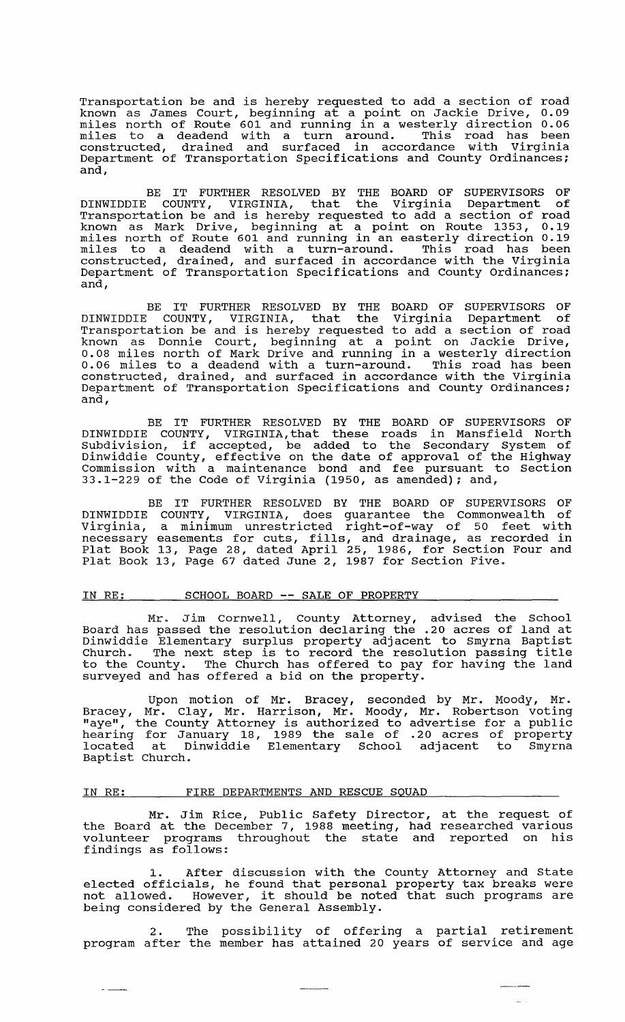Transportation be and is hereby requested to add a section of road known as James Court, beginning at a point on Jackie Drive, 0.09 miles north of Route 601 and running in a westerly direction 0.06 miles here it house our and running in a second interesting the second interest of the miles to a deadend with a turn around. This road has been constructed, drained and surfaced in accordance with Virginia Department of Transportation Specifications and County Ordinances; and,

BE IT FURTHER RESOLVED BY THE BOARD OF SUPERVISORS OF DINWIDDIE COUNTY, VIRGINIA, that the Virginia Department of Transportation be and is hereby requested to add a section of road known as Mark Drive, beginning at a point on Route 1353, 0.19 miles north of Route 601 and running in an easterly direction 0.19 miles horem of house oor and running in an easeerly direction over constructed, drained, and surfaced in accordance with the Virginia Department of Transportation Specifications and County Ordinances; and,

BE IT FURTHER RESOLVED BY THE BOARD OF SUPERVISORS OF DINWIDDIE COUNTY, VIRGINIA, that the Virginia Department of Transportation be and is hereby requested to add a section of road known as Donnie Court, beginning at a point on Jackie Drive, 0.08 miles north of Mark Drive and running in a westerly direction 0.06 miles to a deadend with a turn-around. This road has been constructed, drained, and surfaced in accordance with the Virginia Department of Transportation specifications and County Ordinances; and,

BE IT FURTHER RESOLVED BY THE BOARD OF SUPERVISORS OF DINWIDDIE COUNTY, VIRGINIA, that these roads in Mansfield North Subdivision, if accepted, be added to the Secondary System of Dinwiddie County, effective on the date of approval of the Highway Commission with a maintenance bond and fee pursuant to section 33.1-229 of the Code of Virginia (1950, as amended); and,

BE IT FURTHER RESOLVED BY THE BOARD OF SUPERVISORS OF COUNTY, VIRGINIA, does guarantee the Commonwealth of a minimum unrestricted right-of-way of 50 feet with a minimum unrestricted right-or-way or 50 reet with<br>easements for cuts, fills, and drainage, as recorded in 13, Page 28, dated April 25, 1986, for section Four and 13, Page 67 dated June 2, 1987 for section Five. DINWIDDIE Virginia, necessary Plat Book Plat Book

#### IN RE: SCHOOL BOARD **--** SALE OF PROPERTY

Mr. Jim Cornwell, County Attorney, advised the School Board has passed the resolution declaring the .20 acres of land at Dinwiddie Elementary surplus property adj acent to Smyrna Baptist Church. The next step is to record the resolution passing title to the County. The Church has offered to pay for having the land surveyed and has offered a bid on the property.

Upon motion of Mr. Bracey, seconded by Mr. Moody, Mr. Bracey, Mr. Clay, Mr. Harrison, Mr. Moody, Mr. Robertson voting biaccy, m. ciay, m. naffison, m. noody, m. nobeleson voeing<br>"aye", the County Attorney is authorized to advertise for a public hearing for January 18, 1989 the sale of .20 acres of property hocated at Dinwiddie Elementary School adjacent to Smyrna Baptist Church.

#### IN RE: FIRE DEPARTMENTS AND RESCUE SQUAD

Mr. Jim Rice, Public Safety Director, the Board at the December 7, 1988 meeting, had volunteer programs throughout the state and findings as follows: at the request of researched various reported on his

1. After discussion with the County Attorney and State elected officials, he found that personal property tax breaks were elected officials, he found that personal property tax breaks were<br>not allowed. However, it should be noted that such programs are being considered by the General Assembly.

2. The possibility of offering a partial retirement program after the member has attained 20 years of service and age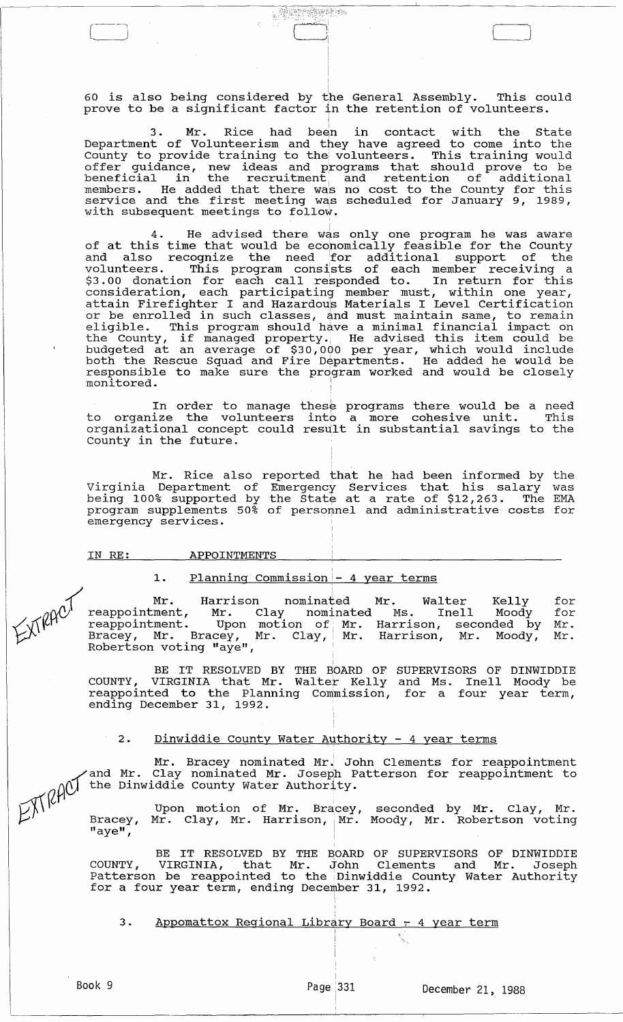60 is also being considered by the General Assembly. This could prove to be a significant factor in the retention of volunteers.

!

**Alertarius** 

 $\Box$ 

3. Mr. Rice had been in contact with the State Department of Volunteerism and they have agreed to come into the County to provide training to the, volunteers. This training would offer guidance, new ideas and programs that should prove to be beneficial in the recruitment and retention of additional members. He added that there was no cost to the County for this members. He added that there was no cost to the county for this<br>service and the first meeting was scheduled for January 9, 1989, with subsequent meetings to follow.

4. He advised there was only one program he was aware of at this time that would be economically feasible for the County and also recognize the need for additional support of the volunteers. This program conslsts of each member receiving a \$3.00 donation for each call regponded to. In return for this consideration, each participating member must, within one year, attain Firefighter I and Hazardou's Materials I Level certification accum interigneer I and habitacle incertairs I have conclused in eligible. This program should have a minimal financial impact on eiigible. This program should have a minimal financial impact on<br>the County, if managed property. He advised this item could be budgeted at an average of \$30,000 per year, which would include both the Rescue Squad and Fire Departments. He added he would be responsible to make sure the program worked and would be closely responsible to make sure the program worked and would be closely monitored.

In order to manage to organize the volunteers organizational concept could County in the future. these programs there would be a need into a more cohesive unit. This result in substantial savings to the

Mr. Rice also reported that he had been informed by the Virginia Department of Emergency Services that his salary was virginia beparement of imergency bervices that his saidly was program supplements 50% of personnel and administrative costs for emergency services.

IN RE: APPOINTMENTS

# 1. Planning Commission - 4 year terms

{ Mr. Harrison nominated Mr. Walter Kelly O~) reappointment, Mr. Clay nominated Ms. Inell Moody *'/\1."'\* ,L,t1 '-' reappointment. Upon motion of. Mr. Harrison, seconded by  $\overleftrightarrow{\mathcal{L}}^{\mathcal{X}^{\mathsf{I}}}$  Bracey, Mr. Bracey, Mr. Clay, Mr. Harrison, Mr. Moody,  $R$ obertson voting "aye",  $\frac{1}{R}$ for for Mr. Mr.

> $\frac{1}{1}$ BE IT RESOLVED BY THE BOARD OF COUNTY, VIRGINIA that Mr. Walter Kelly reappointed to the Planning commission, ending December 31, 1992. SUPERVISORS OF DINWIDDIE and Ms. Inell Moody be for a four year term,

2. Dinwiddie County Water Authority - 4 year terms

Mr. Bracey nominated Mr.' John Clements for reappointment and Mr. Clay nominated Mr. Joseph Patterson for reappointment to  $\bigwedge$  the Dinwiddie County Water Authority.

 $\mathcal{D}_{\lambda}^{\vee}$  Upon motion of Mr. Bracey, seconded by Mr. Clay, Mr.  $L'$ . Bracey, Mr. Clay, Mr. Harrison, Mr. Moody, Mr. Robertson voting  $\mathsf{''aye''}$ ,  $\blacksquare$ 

> BE IT RESOLVED BY THE BOARD OF SUPERVISORS OF DINWIDDIE COUNTY, VIRGINIA, that Mr. John Clements and Mr. Joseph Patterson be reappointed to the Dinwiddie County Water Authority for a four year term, ending December 31, 1992.

3. Appomattox Regional Library Board - 4 year term

 $\sim$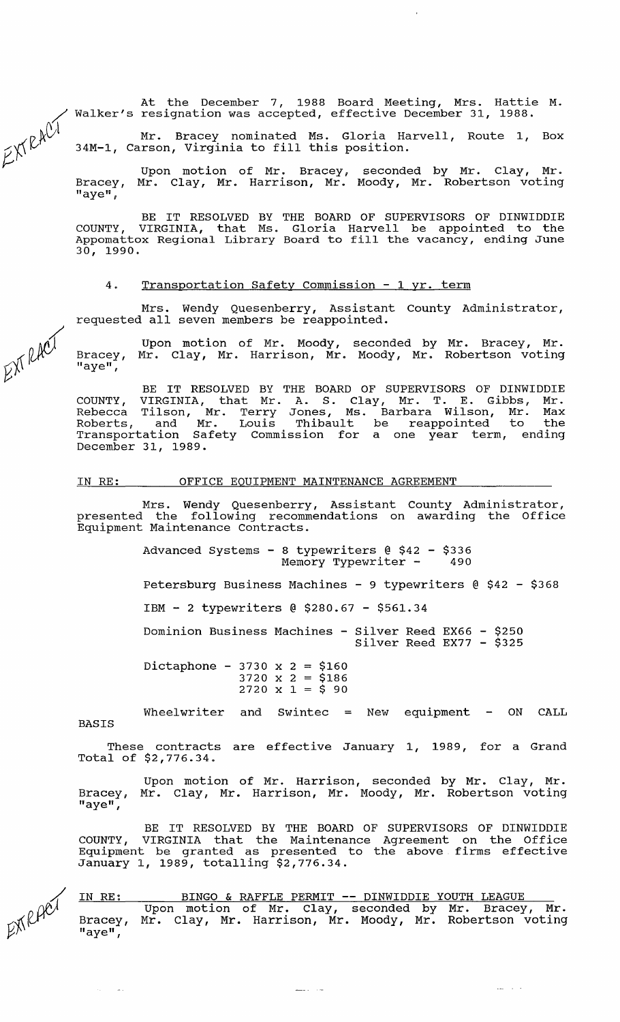At the December 7, 1988 Board Meeting, Mrs. Hattie M. Walker's resignation was accepted, effective December 31, 1988.

Mr. Bracey nominated Ms. Gloria Harvell, Route 1, Box 34M-I, Carson, Virginia to fill this position.

Bracey, "aye", Upon motion of Mr. Bracey, Mr. Clay, Mr. Harrison, Mr. seconded by Mr. Clay, Mr. Moody, Mr. Robertson voting

BE IT RESOLVED BY THE BOARD OF SUPERVISORS OF DINWIDDIE COUNTY, VIRGINIA, that Ms. Gloria Harvell be appointed to the Appomattox Regional Library Board to fill the vacancy, ending June 30, 1990.

#### 4. Transportation Safety Commission - 1 yr. term

Mrs. Wendy Quesenberry, Assistant County Administrator, requested all seven members be reappointed.

Bracey, "aye", Upon motion of Mr. Moody, Mr. Clay, Mr. Harrison, Mr. seconded by Mr. Bracey, Mr. Moody, Mr. Robertson voting

BE IT RESOLVED BY THE BOARD OF SUPERVISORS OF DINWIDDIE COUNTY, VIRGINIA, that Mr. A. S. Clay, Mr. T. E. Gibbs, Mr. Rebecca Tilson, Mr. Terry Jones, Ms. Barbara Wilson, Mr. Max Roberts, and Mr. Louis Thibault be reappointed to the Transportation Safety Commission for a one year term, ending December 31, 1989.

IN RE: OFFICE EQUIPMENT MAINTENANCE AGREEMENT

Mrs. Wendy Quesenberry, Assistant County Administrator, presented the following recommendations on awarding the Office Equipment Maintenance Contracts.

> Advanced Systems - 8 typewriters @ \$42 - \$336 Memory Typewriter  $-$

Petersburg Business Machines - 9 typewriters @ \$42 - \$368

IBM - 2 typewriters @ \$280.67 - \$561.34

Dominion Business Machines - Silver Reed EX66 - \$250 Silver Reed EX77 - \$325

Dictaphone - 3730 x 2 = \$160  $3720 \times 2 = $186$  $2720 \times 1 = 590$ 

BASIS Wheelwriter and Swintec  $=$  New equipment  $-$  ON CALL

These contracts are effective January 1, 1989, for a Grand Total of \$2,776.34.

Bracey, Mr. Clay, Mr. Harrison, Mr. Moody, Mr. Robertson voting "aye", Upon motion of Mr. Harrison, seconded by Mr. Clay, Mr.

BE IT RESOLVED BY THE BOARD OF SUPERVISORS OF DINWIDDIE COUNTY, VIRGINIA that the Maintenance Agreement on the Office Equipment be granted as presented to the above firms effective January 1, 1989, totalling \$2,776.34.

/  $E[X]$ 

 $\mathcal{L}_{\mathrm{eff}}$  .  $\sim 100$ 

# BINGO & RAFFLE PERMIT **--** DINWIDDIE YOUTH LEAGUE

 $\mathcal{L}_{\text{max}} = \mathcal{L}_{\text{max}}$ 

IN RE: Bracey, "aye", Upon motion of Mr. Clay, seconded by Mr. Bracey, Mr. Mr. Clay, Mr. Harrison, Mr. Moody, Mr. Robertson voting

/  $200$ 

/

 $\lt \vee \wedge \vee'$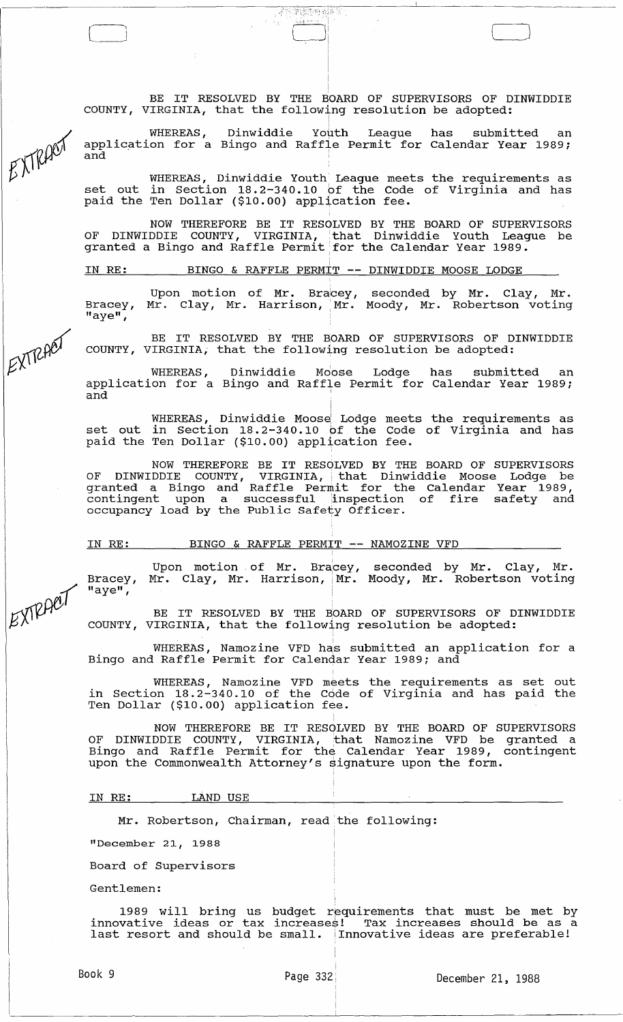i BE IT RESOLVED BY THE BOARD OF SUPERVISORS OF DINWIDDIE COUNTY, VIRGINIA, that the following resolution be adopted: I

i

**STERN STATE** 

LJ

WHEREAS, Dinwiddie Youth League has submitted an application for a Bingo and Raffle Permit for Calendar Year 1989;

WHEREAS, Dinwiddie Youth League meets the requirements as set out in section 18.2-340.10 bf the Code of Virginia and has paid the Ten Dollar (\$10.00) application fee.

NOW THEREFORE BE IT RESOLVED BY THE BOARD OF SUPERVISORS OF DINWIDDIE COUNTY, VIRGINIA, that Dinwiddie Youth League be er Ernings and Controller Contently that Exhibitation Touch Estimate of the Calendar Year 1989.

<sup>I</sup>IN RE: BINGO & RAFFLE PERMIT -- DINWIDDIE MOOSE LODGE

Bracey, "aye", Upon motion of Mr. Bra<mark>cey,</mark> Mr. Clay, Mr. Harrison, Mr. seconded by Mr. Clay, Mr. Moody, Mr. Robertson voting

BE IT RESOLVED BY THE BOARD OF SUPERVISORS OF DINWIDDIE COUNTY, VIRGINIA; that the following resolution be adopted:

WHEREAS, Dinwiddie Moose Lodge has submitted an application for a Bingo and Raffle Permit for Calendar Year 1989;  $\overline{\mathbf{a}}$ nd ' $\overline{\mathbf{a}}$ ' ' $\overline{\mathbf{a}}$ ' ' $\overline{\mathbf{a}}$ ' ' $\overline{\mathbf{a}}$ ' ' $\overline{\mathbf{a}}$ ' ' $\overline{\mathbf{a}}$ ' ' $\overline{\mathbf{a}}$ ' ' $\overline{\mathbf{a}}$ ' ' $\overline{\mathbf{a}}$ ' ' $\overline{\mathbf{a}}$ ' ' $\overline{\mathbf{a}}$ ' ' $\overline{\mathbf{a}}$ ' ' $\overline{\mathbf{a}}$ ' ' $\overline{\mathbf{a}}$ ' ' $\overline{\mathbf{a}}$ ,

WHEREAS, Dinwiddie Moose Lodge meets the requirements as set out in Section 18.2-340.10 of the Code of Virginia and has paid the Ten Dollar (\$10.00) application fee.

I

NOW THEREFORE BE IT RESOLVED BY THE BOARD OF SUPERVISORS OF DINWIDDIE COUNTY, VIRGINIA, that Dinwiddie Moose Lodge be granted a Bingo and Raffle Permit for the Calendar Year 1989, granted a bingo and narrie rermit for the carendar rear 1585, occupancy load by the Public Safety Officer.

IN RE: BINGO & RAFFLE PERMIT -- NAMOZINE VFD

Bracey, "aye", Upon motion of Mr. Bracey, seconded by Mr. Clay, Mr.<br>Mr. Clay, Mr. Harrison, Mr. Moody, Mr. Robertson voting i Moody, Mr. Robertson voting

BE IT RESOLVED BY THE BOARD OF SUPERVISORS OF DINWIDDIE COUNTY, VIRGINIA, that the following resolution be adopted:

WHEREAS, Namozine VFD has submitted an application for a Bingo and Raffle Permit for Calendar Year 1989; and

WHEREAS, Namozine VFD meets the requirements as set out in section 18.2-340.10 of the Cqde of Virginia and has paid the Ten Dollar (\$10.00) application fee.

NOW THEREFORE BE IT RESOLVED BY THE BOARD OF SUPERVISORS OF DINWIDDIE COUNTY, VIRGINIA, 'that Namozine VFD be granted a Bingo and Raffle Permit for the Calendar Year 1989, contingent upon the Commonwealth Attorney's signature upon the form.

IN RE: LAND USE

Mr. Robertson, Chairman, read the following:

"December 21, 1988

Board of Supervisors

Gentlemen:

1989 will bring us budget requirements that must be met by innovative ideas or tax increases! Tax increases should be as a last resort and should be small. Innovative ideas are preferable!



EXTRACT

EXTRACT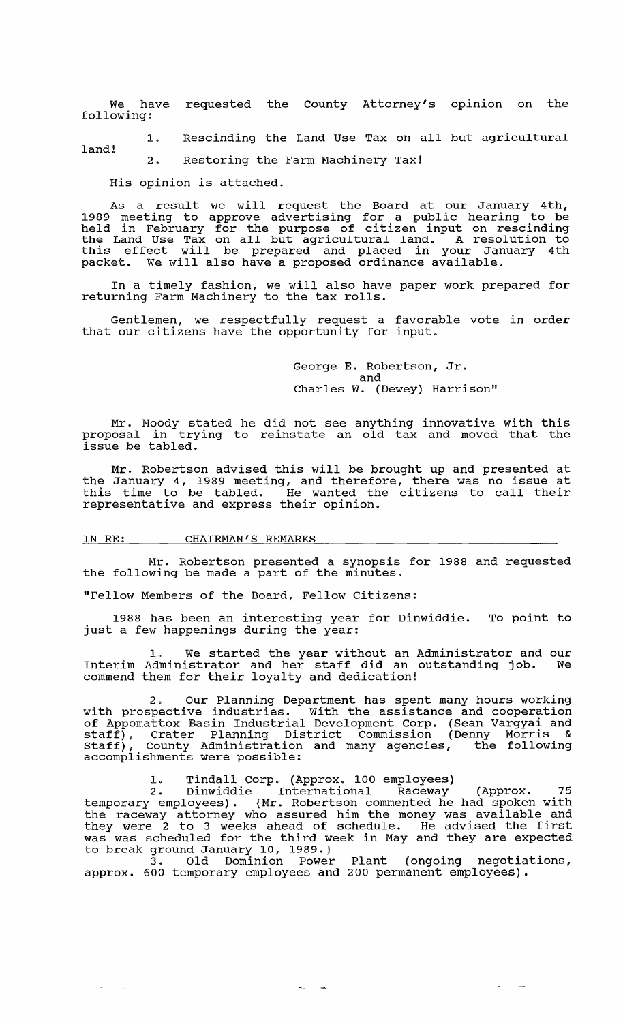We have requested the County Attorney's opinion on the following:

1. Rescinding the Land Use Tax on all but agricultural land!

2. Restoring the Farm Machinery Tax!

His opinion is attached.

As a result we will request the Board at our January 4th, 1989 meeting to approve advertising for a public hearing to be held in February for the purpose of citizen input on rescinding the Land Use Tax on all but agricultural land. A resolution to this effect will be prepared and placed in your January 4th packet. We will also have a proposed ordinance available.

In a timely fashion, we will also have paper work prepared for In a cimery rashfon, we wiff also have

Gentlemen, we respectfully request a favorable vote in order that our citizens have the opportunity for input.

> George E. Robertson, Jr. and Charles W. (Dewey) Harrison"

Mr. Moody stated he did not see anything innovative with this proposal in trying to reinstate an old tax and moved that the  $\frac{1}{1}$ ssue be tabled.

Mr. Robertson advised this will be brought up and presented at the January 4, 1989 meeting, and therefore, there was no issue at this time to be tabled. He wanted the citizens to call their representative and express their opinion.

# IN RE: CHAIRMAN'S REMARKS

Mr. Robertson presented a synopsis for 1988 and requested the following be made a part of the minutes.

"Fellow Members of the Board, Fellow citizens:

1988 has been an interesting year for Dinwiddie. To point to just a few happenings during the year:

I. We started the year without an Administrator and our Interim Administrator and her staff did an outstanding job. We commend them for their loyalty and dedication!

2. Our Planning Department has spent many hours working with prospective industries. With the assistance and cooperation of Appomattox Basin Industrial Development Corp. (Sean Vargyai and staff); Crater Planning District Commission (Denny Morris & Staff), County Administration and many agencies, the following accomplishments were possible:

1. Tindall corp. (Approx. 100 employees)

2. Dinwiddie International Raceway (Approx. 75 temporary employees). {Mr. Robertson commented he had spoken with the raceway attorney who assured him the money was available and the faceway attorney who assured him the money was avariable and<br>they were 2 to 3 weeks ahead of schedule. He advised the first was was scheduled for the third week in May and they are expected to break ground January 10, 1989.}

3. Old Dominion Power Plant (ongoing negotiations; approx. 600 temporary employees and 200 permanent employees) .

 $\sim 10^{-10}$  km  $^{-1}$ 

 $\sim$   $-$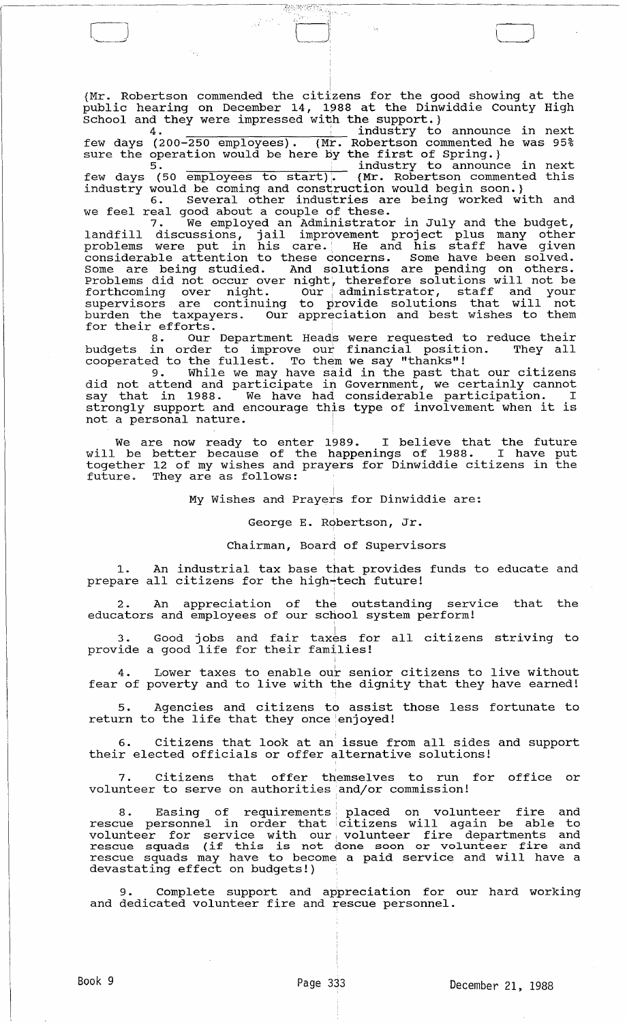(Mr. Robertson commended the citizens for the good showing at the {Mr. Robertson commended the citizens for the good showing at the public hearing on December 14, 1988 at the Dinwiddie County High school and they were impressed with the support.}

BARTING S

 $\mathcal{A}^{\text{max}}$ 

.<br>|<br>|

 $\Box$ 

4 . . industry to announce in next few days (200-250 employees). {Mr. Robertson commented he was 95%<br>sure the operation would be here by the first of Spring.}

 $5.$   $\frac{3}{2}$  and  $\frac{3}{2}$  and  $\frac{1}{2}$  industry to announce in next few days (50 employees to start). (Mr. Robertson commented this industry would be coming and construction would begin soon.}

6. Several other indus'tries are being worked with and we feel real good about a couple of these.

7. We employed an Admihistrator in July and the budget, landfill discussions, jail improvement project plus many other problems were put in his care. He and his staff have given considerable attention to these concerns. Some have been solved. Some are being studied. And solutions are pending on others. Problems did not occur over night'., therefore solutions will not be forthcoming over night. Our administrator, staff and your supervisors are continuing to provide solutions that will not burden the taxpayers. Our appreciation and best wishes to them

for their efforts.<br>for their efforts.<br>8. Our Department Heads were requested to reduce their budgets in order to improve our financial position. They all cooperated to the fullest. To them we say "thanks"!

9. While we may have said in the past that our citizens did not attend and participate in Government, we certainly cannot say that in 1988. We have had considerable participation. I strongly support and encourage this type of involvement when it is not a personal nature.

We are now ready to enter 1989. I believe that the future will be better because of the happenings of 1988. I have put together 12 of my wishes and prayers for Dinwiddie citizens in the future. They are as follows:

My Wishes and Prayers for Dinwiddie are:

George E. Robertson, Jr.

#### Chairman, Board of Supervisors

An industrial tax base that provides funds to educate and prepare all citizens for the high-tech future!

I 2. An appreciation of the outstanding service that the educators and employees of our school system perform!

I 3. Good jobs and fair taxes for all citizens striving to provide a good life for their families!

Lower taxes to enable our senior citizens to live without fear of poverty and to live with the dignity that they have earned!

Agencies and citizens to assist those less fortunate to return to the life that they once enjoyed!

, 6. citizens that look at an issue from all sides and support their elected officials or offer alternative solutions!

, 7. citizens that offer themselves to run for office or volunteer to serve on authorities and/or commission!

8. Easing of requirements placed on volunteer fire and rescue personnel in order that citizens will again be able to rescue personner in order that critizens wifit again be able to rescue squads (if this is not done soon or volunteer fire and rescue squads may have to become a paid service and will have a devastating effect on budgets!)

9. Complete support and appreciation for our hard working and dedicated volunteer fire and rescue personnel.